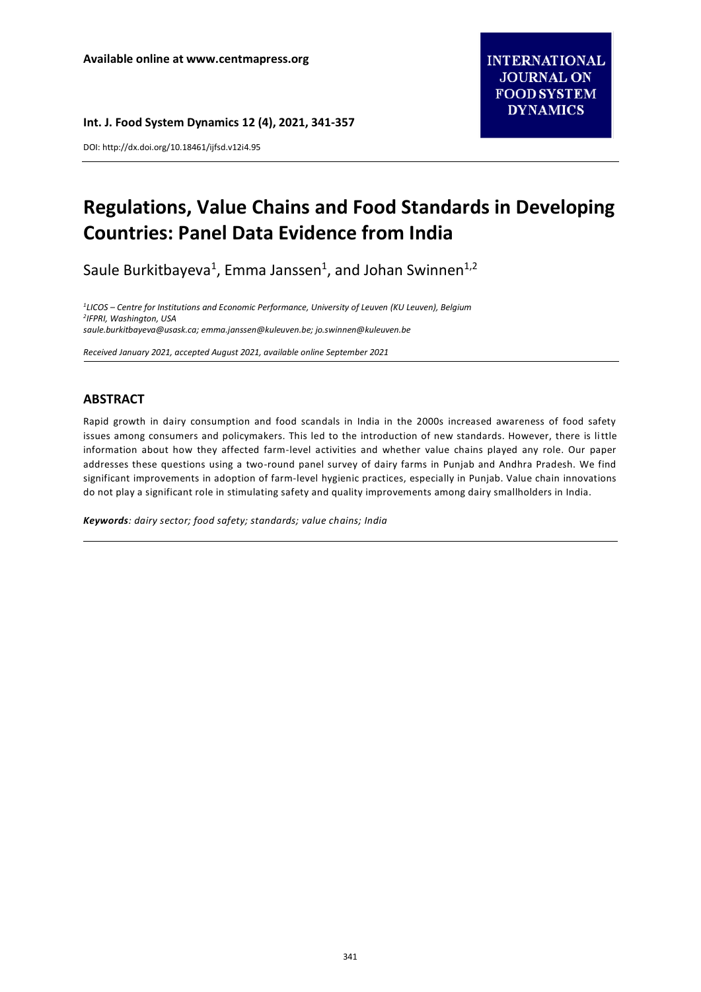**Int. J. Food System Dynamics 12 (4), 2021, 341-357**

DOI: http://dx.doi.org/10.18461/ijfsd.v12i4.95

# **Regulations, Value Chains and Food Standards in Developing Countries: Panel Data Evidence from India**

Saule Burkitbayeva<sup>1</sup>, Emma Janssen<sup>1</sup>, and Johan Swinnen<sup>1,2</sup>

*1 LICOS – Centre for Institutions and Economic Performance, University of Leuven (KU Leuven), Belgium 2 IFPRI, Washington, USA [saule.burkitbayeva@usask.ca;](mailto:saule.burkitbayeva@usask.ca) [emma.janssen@kuleuven.be;](mailto:emma.janssen@kuleuven.be) jo.swinnen@kuleuven.be*

*Received January 2021, accepted August 2021, available online September 2021*

# **ABSTRACT**

Rapid growth in dairy consumption and food scandals in India in the 2000s increased awareness of food safety issues among consumers and policymakers. This led to the introduction of new standards. However, there is little information about how they affected farm-level activities and whether value chains played any role. Our paper addresses these questions using a two-round panel survey of dairy farms in Punjab and Andhra Pradesh. We find significant improvements in adoption of farm-level hygienic practices, especially in Punjab. Value chain innovations do not play a significant role in stimulating safety and quality improvements among dairy smallholders in India.

*Keywords: dairy sector; food safety; standards; value chains; India*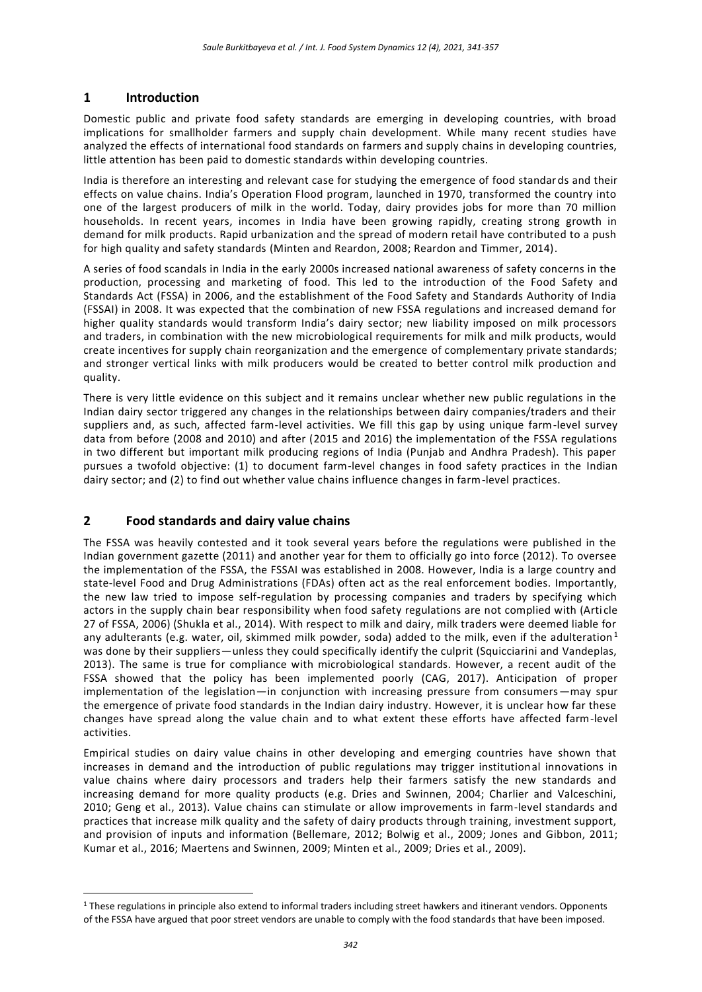# **1 Introduction**

Domestic public and private food safety standards are emerging in developing countries, with broad implications for smallholder farmers and supply chain development. While many recent studies have analyzed the effects of international food standards on farmers and supply chains in developing countries, little attention has been paid to domestic standards within developing countries.

India is therefore an interesting and relevant case for studying the emergence of food standards and their effects on value chains. India's Operation Flood program, launched in 1970, transformed the country into one of the largest producers of milk in the world. Today, dairy provides jobs for more than 70 million households. In recent years, incomes in India have been growing rapidly, creating strong growth in demand for milk products. Rapid urbanization and the spread of modern retail have contributed to a push for high quality and safety standards (Minten and Reardon, 2008; Reardon and Timmer, 2014).

A series of food scandals in India in the early 2000s increased national awareness of safety concerns in the production, processing and marketing of food. This led to the introduction of the Food Safety and Standards Act (FSSA) in 2006, and the establishment of the Food Safety and Standards Authority of India (FSSAI) in 2008. It was expected that the combination of new FSSA regulations and increased demand for higher quality standards would transform India's dairy sector; new liability imposed on milk processors and traders, in combination with the new microbiological requirements for milk and milk products, would create incentives for supply chain reorganization and the emergence of complementary private standards; and stronger vertical links with milk producers would be created to better control milk production and quality.

There is very little evidence on this subject and it remains unclear whether new public regulations in the Indian dairy sector triggered any changes in the relationships between dairy companies/traders and their suppliers and, as such, affected farm-level activities. We fill this gap by using unique farm-level survey data from before (2008 and 2010) and after (2015 and 2016) the implementation of the FSSA regulations in two different but important milk producing regions of India (Punjab and Andhra Pradesh). This paper pursues a twofold objective: (1) to document farm-level changes in food safety practices in the Indian dairy sector; and (2) to find out whether value chains influence changes in farm-level practices.

# **2 Food standards and dairy value chains**

<u>.</u>

The FSSA was heavily contested and it took several years before the regulations were published in the Indian government gazette (2011) and another year for them to officially go into force (2012). To oversee the implementation of the FSSA, the FSSAI was established in 2008. However, India is a large country and state-level Food and Drug Administrations (FDAs) often act as the real enforcement bodies. Importantly, the new law tried to impose self-regulation by processing companies and traders by specifying which actors in the supply chain bear responsibility when food safety regulations are not complied with (Article 27 of FSSA, 2006) (Shukla et al., 2014). With respect to milk and dairy, milk traders were deemed liable for any adulterants (e.g. water, oil, skimmed milk powder, soda) added to the milk, even if the adulteration<sup>1</sup> was done by their suppliers—unless they could specifically identify the culprit (Squicciarini and Vandeplas, 2013). The same is true for compliance with microbiological standards. However, a recent audit of the FSSA showed that the policy has been implemented poorly (CAG, 2017). Anticipation of proper implementation of the legislation—in conjunction with increasing pressure from consumers—may spur the emergence of private food standards in the Indian dairy industry. However, it is unclear how far these changes have spread along the value chain and to what extent these efforts have affected farm-level activities.

Empirical studies on dairy value chains in other developing and emerging countries have shown that increases in demand and the introduction of public regulations may trigger institutional innovations in value chains where dairy processors and traders help their farmers satisfy the new standards and increasing demand for more quality products (e.g. Dries and Swinnen, 2004; Charlier and Valceschini, 2010; Geng et al., 2013). Value chains can stimulate or allow improvements in farm-level standards and practices that increase milk quality and the safety of dairy products through training, investment support, and provision of inputs and information (Bellemare, 2012; Bolwig et al., 2009; Jones and Gibbon, 2011; Kumar et al., 2016; Maertens and Swinnen, 2009; Minten et al., 2009; Dries et al., 2009).

 $1$  These regulations in principle also extend to informal traders including street hawkers and itinerant vendors. Opponents of the FSSA have argued that poor street vendors are unable to comply with the food standards that have been imposed.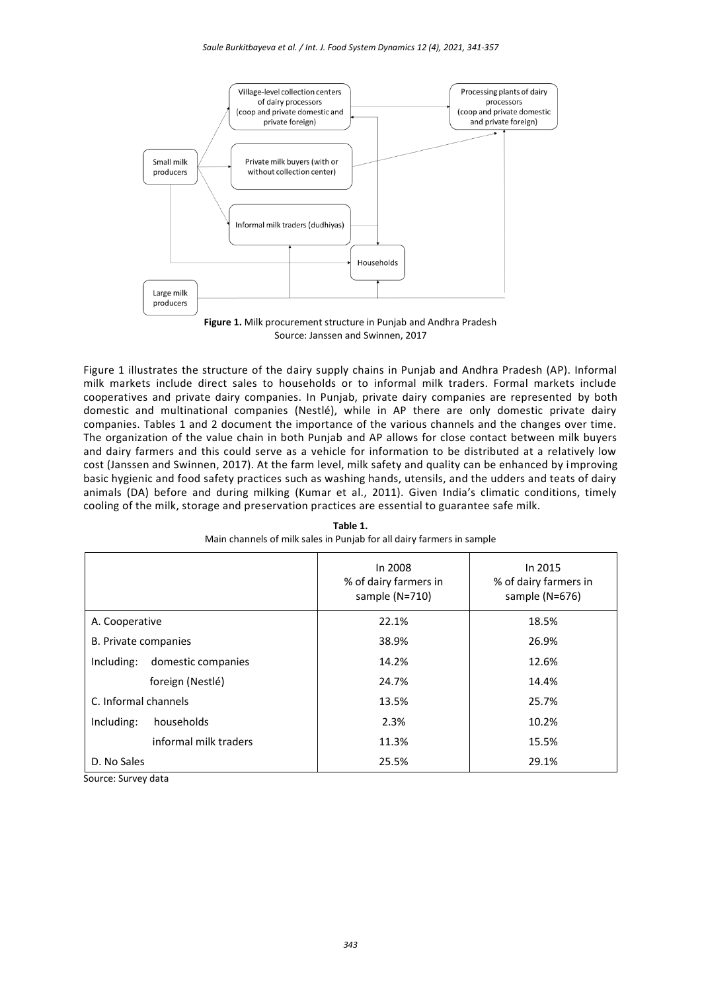

Source: Janssen and Swinnen, 2017

Figure 1 illustrates the structure of the dairy supply chains in Punjab and Andhra Pradesh (AP). Informal milk markets include direct sales to households or to informal milk traders. Formal markets include cooperatives and private dairy companies. In Punjab, private dairy companies are represented by both domestic and multinational companies (Nestlé), while in AP there are only domestic private dairy companies. Tables 1 and 2 document the importance of the various channels and the changes over time. The organization of the value chain in both Punjab and AP allows for close contact between milk buyers and dairy farmers and this could serve as a vehicle for information to be distributed at a relatively low cost (Janssen and Swinnen, 2017). At the farm level, milk safety and quality can be enhanced by improving basic hygienic and food safety practices such as washing hands, utensils, and the udders and teats of dairy animals (DA) before and during milking (Kumar et al., 2011). Given India's climatic conditions, timely cooling of the milk, storage and preservation practices are essential to guarantee safe milk.

|                                  | In 2015<br>In 2008<br>% of dairy farmers in<br>% of dairy farmers in<br>sample (N=710)<br>sample (N=676) |       |
|----------------------------------|----------------------------------------------------------------------------------------------------------|-------|
| A. Cooperative                   | 22.1%                                                                                                    | 18.5% |
| B. Private companies             | 38.9%                                                                                                    | 26.9% |
| domestic companies<br>Including: | 14.2%                                                                                                    | 12.6% |
| foreign (Nestlé)                 | 24.7%                                                                                                    | 14.4% |
| C. Informal channels             | 13.5%                                                                                                    | 25.7% |
| households<br>Including:         | 2.3%                                                                                                     | 10.2% |
| informal milk traders            | 11.3%                                                                                                    | 15.5% |
| D. No Sales                      | 25.5%                                                                                                    | 29.1% |

**Table 1.** Main channels of milk sales in Punjab for all dairy farmers in sample

Source: Survey data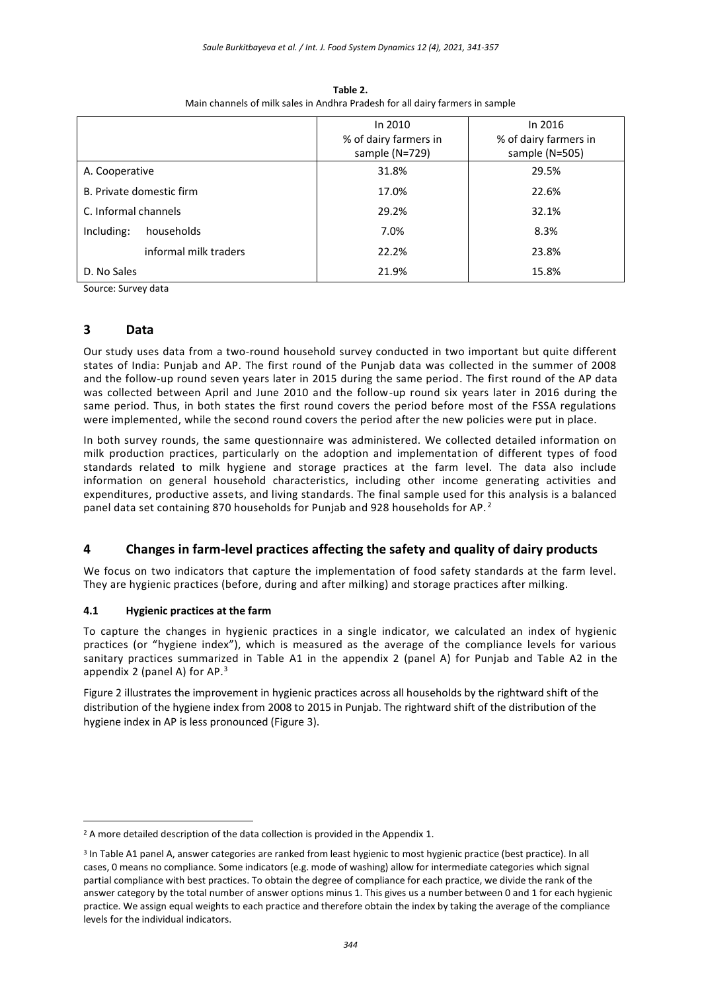|                          | In 2010               | In 2016               |
|--------------------------|-----------------------|-----------------------|
|                          | % of dairy farmers in | % of dairy farmers in |
|                          | sample (N=729)        | sample (N=505)        |
| A. Cooperative           | 31.8%                 | 29.5%                 |
| B. Private domestic firm | 17.0%                 | 22.6%                 |
| C. Informal channels     | 29.2%                 | 32.1%                 |
| households<br>Including: | 7.0%                  | 8.3%                  |
| informal milk traders    | 22.2%                 | 23.8%                 |
| D. No Sales              | 21.9%                 | 15.8%                 |

**Table 2.** Main channels of milk sales in Andhra Pradesh for all dairy farmers in sample

Source: Survey data

## **3 Data**

<u>.</u>

Our study uses data from a two-round household survey conducted in two important but quite different states of India: Punjab and AP. The first round of the Punjab data was collected in the summer of 2008 and the follow-up round seven years later in 2015 during the same period. The first round of the AP data was collected between April and June 2010 and the follow-up round six years later in 2016 during the same period. Thus, in both states the first round covers the period before most of the FSSA regulations were implemented, while the second round covers the period after the new policies were put in place.

In both survey rounds, the same questionnaire was administered. We collected detailed information on milk production practices, particularly on the adoption and implementation of different types of food standards related to milk hygiene and storage practices at the farm level. The data also include information on general household characteristics, including other income generating activities and expenditures, productive assets, and living standards. The final sample used for this analysis is a balanced panel data set containing 870 households for Punjab and 928 households for AP.<sup>2</sup>

# **4 Changes in farm-level practices affecting the safety and quality of dairy products**

We focus on two indicators that capture the implementation of food safety standards at the farm level. They are hygienic practices (before, during and after milking) and storage practices after milking.

## **4.1 Hygienic practices at the farm**

To capture the changes in hygienic practices in a single indicator, we calculated an index of hygienic practices (or "hygiene index"), which is measured as the average of the compliance levels for various sanitary practices summarized in Table A1 in the appendix 2 (panel A) for Punjab and Table A2 in the appendix 2 (panel A) for AP. $3$ 

Figure 2 illustrates the improvement in hygienic practices across all households by the rightward shift of the distribution of the hygiene index from 2008 to 2015 in Punjab. The rightward shift of the distribution of the hygiene index in AP is less pronounced (Figure 3).

 $2$  A more detailed description of the data collection is provided in the Appendix 1.

<sup>3</sup> In Table A1 panel A, answer categories are ranked from least hygienic to most hygienic practice (best practice). In all cases, 0 means no compliance. Some indicators (e.g. mode of washing) allow for intermediate categories which signal partial compliance with best practices. To obtain the degree of compliance for each practice, we divide the rank of the answer category by the total number of answer options minus 1. This gives us a number between 0 and 1 for each hygienic practice. We assign equal weights to each practice and therefore obtain the index by taking the average of the compliance levels for the individual indicators.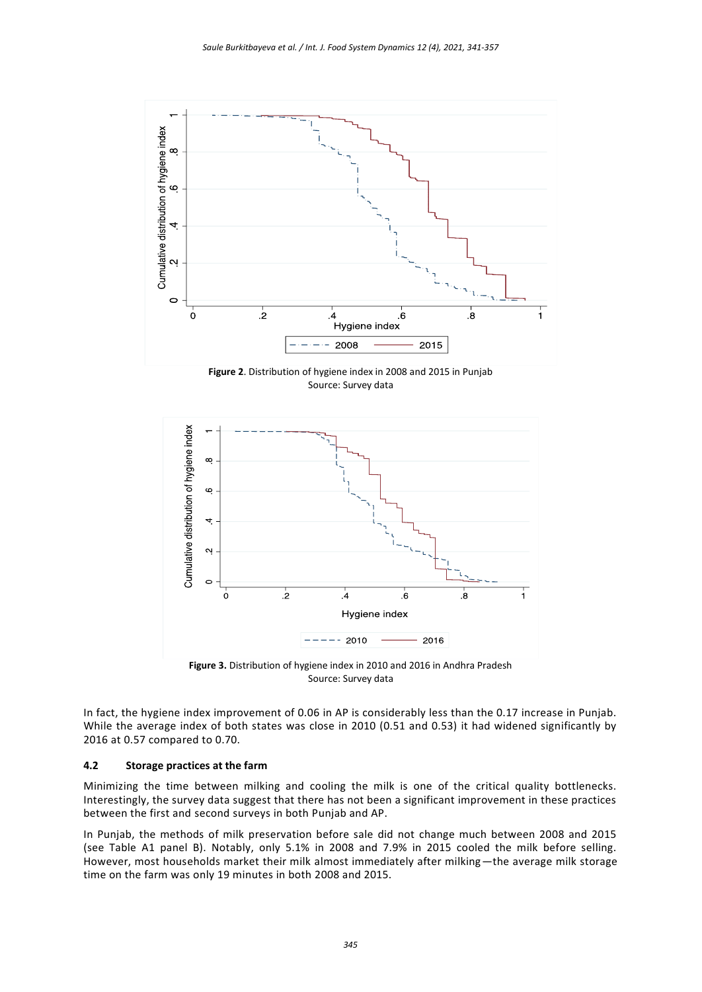

**Figure 2**. Distribution of hygiene index in 2008 and 2015 in Punjab Source: Survey data



**Figure 3.** Distribution of hygiene index in 2010 and 2016 in Andhra Pradesh Source: Survey data

In fact, the hygiene index improvement of 0.06 in AP is considerably less than the 0.17 increase in Punjab. While the average index of both states was close in 2010 (0.51 and 0.53) it had widened significantly by 2016 at 0.57 compared to 0.70.

#### **4.2 Storage practices at the farm**

Minimizing the time between milking and cooling the milk is one of the critical quality bottlenecks. Interestingly, the survey data suggest that there has not been a significant improvement in these practices between the first and second surveys in both Punjab and AP.

In Punjab, the methods of milk preservation before sale did not change much between 2008 and 2015 (see Table A1 panel B). Notably, only 5.1% in 2008 and 7.9% in 2015 cooled the milk before selling. However, most households market their milk almost immediately after milking—the average milk storage time on the farm was only 19 minutes in both 2008 and 2015.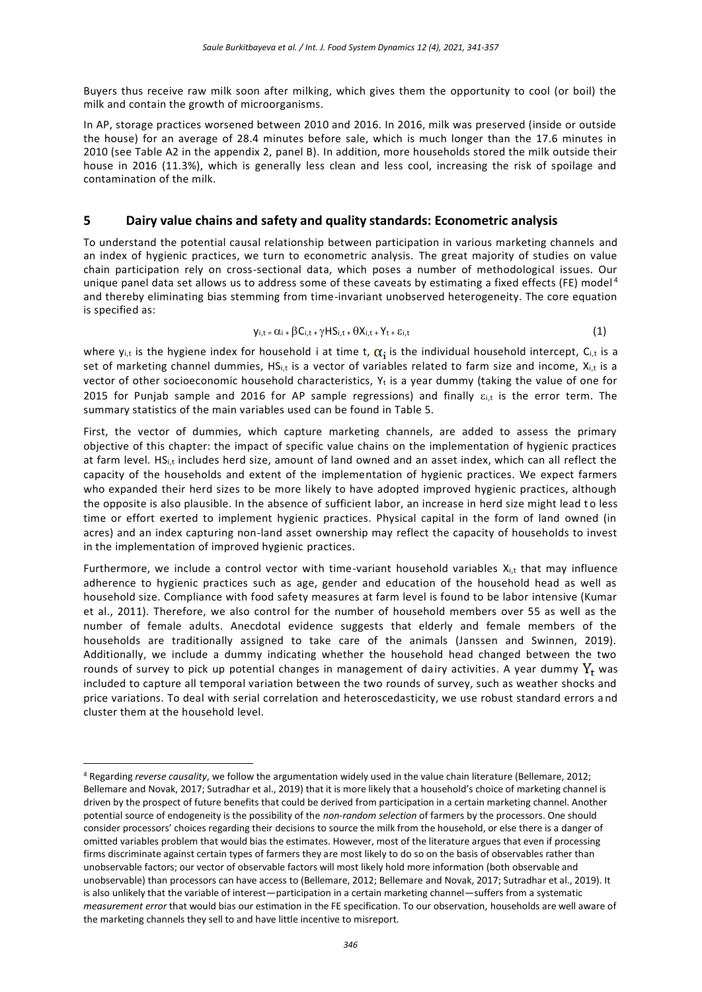Buyers thus receive raw milk soon after milking, which gives them the opportunity to cool (or boil) the milk and contain the growth of microorganisms.

In AP, storage practices worsened between 2010 and 2016. In 2016, milk was preserved (inside or outside the house) for an average of 28.4 minutes before sale, which is much longer than the 17.6 minutes in 2010 (see Table A2 in the appendix 2, panel B). In addition, more households stored the milk outside their house in 2016 (11.3%), which is generally less clean and less cool, increasing the risk of spoilage and contamination of the milk.

## **5 Dairy value chains and safety and quality standards: Econometric analysis**

To understand the potential causal relationship between participation in various marketing channels and an index of hygienic practices, we turn to econometric analysis. The great majority of studies on value chain participation rely on cross-sectional data, which poses a number of methodological issues. Our unique panel data set allows us to address some of these caveats by estimating a fixed effects (FE) model<sup>4</sup> and thereby eliminating bias stemming from time-invariant unobserved heterogeneity. The core equation is specified as:

$$
y_{i,t} = \alpha_i + \beta C_{i,t} + \gamma HS_{i,t} + \theta X_{i,t} + Y_{t} + \epsilon_{i,t}
$$
\n
$$
(1)
$$

where  $y_{i,t}$  is the hygiene index for household i at time t,  $\alpha_i$  is the individual household intercept, C<sub>i,t</sub> is a set of marketing channel dummies,  $HS_{i,t}$  is a vector of variables related to farm size and income,  $X_{i,t}$  is a vector of other socioeconomic household characteristics,  $Y_t$  is a year dummy (taking the value of one for 2015 for Punjab sample and 2016 for AP sample regressions) and finally  $\varepsilon_{i,t}$  is the error term. The summary statistics of the main variables used can be found in Table 5.

First, the vector of dummies, which capture marketing channels, are added to assess the primary objective of this chapter: the impact of specific value chains on the implementation of hygienic practices at farm level. HS<sub>i,t</sub> includes herd size, amount of land owned and an asset index, which can all reflect the capacity of the households and extent of the implementation of hygienic practices. We expect farmers who expanded their herd sizes to be more likely to have adopted improved hygienic practices, although the opposite is also plausible. In the absence of sufficient labor, an increase in herd size might lead to less time or effort exerted to implement hygienic practices. Physical capital in the form of land owned (in acres) and an index capturing non-land asset ownership may reflect the capacity of households to invest in the implementation of improved hygienic practices.

Furthermore, we include a control vector with time-variant household variables X<sub>i,t</sub> that may influence adherence to hygienic practices such as age, gender and education of the household head as well as household size. Compliance with food safety measures at farm level is found to be labor intensive (Kumar et al., 2011). Therefore, we also control for the number of household members over 55 as well as the number of female adults. Anecdotal evidence suggests that elderly and female members of the households are traditionally assigned to take care of the animals (Janssen and Swinnen, 2019). Additionally, we include a dummy indicating whether the household head changed between the two rounds of survey to pick up potential changes in management of dairy activities. A year dummy  $Y_t$  was included to capture all temporal variation between the two rounds of survey, such as weather shocks and price variations. To deal with serial correlation and heteroscedasticity, we use robust standard errors a nd cluster them at the household level.

1

<sup>4</sup> Regarding *reverse causality*, we follow the argumentation widely used in the value chain literature (Bellemare, 2012; Bellemare and Novak, 2017; Sutradhar et al., 2019) that it is more likely that a household's choice of marketing channel is driven by the prospect of future benefits that could be derived from participation in a certain marketing channel. Another potential source of endogeneity is the possibility of the *non-random selection* of farmers by the processors. One should consider processors' choices regarding their decisions to source the milk from the household, or else there is a danger of omitted variables problem that would bias the estimates. However, most of the literature argues that even if processing firms discriminate against certain types of farmers they are most likely to do so on the basis of observables rather than unobservable factors; our vector of observable factors will most likely hold more information (both observable and unobservable) than processors can have access to (Bellemare, 2012; Bellemare and Novak, 2017; Sutradhar et al., 2019). It is also unlikely that the variable of interest—participation in a certain marketing channel—suffers from a systematic *measurement error* that would bias our estimation in the FE specification. To our observation, households are well aware of the marketing channels they sell to and have little incentive to misreport.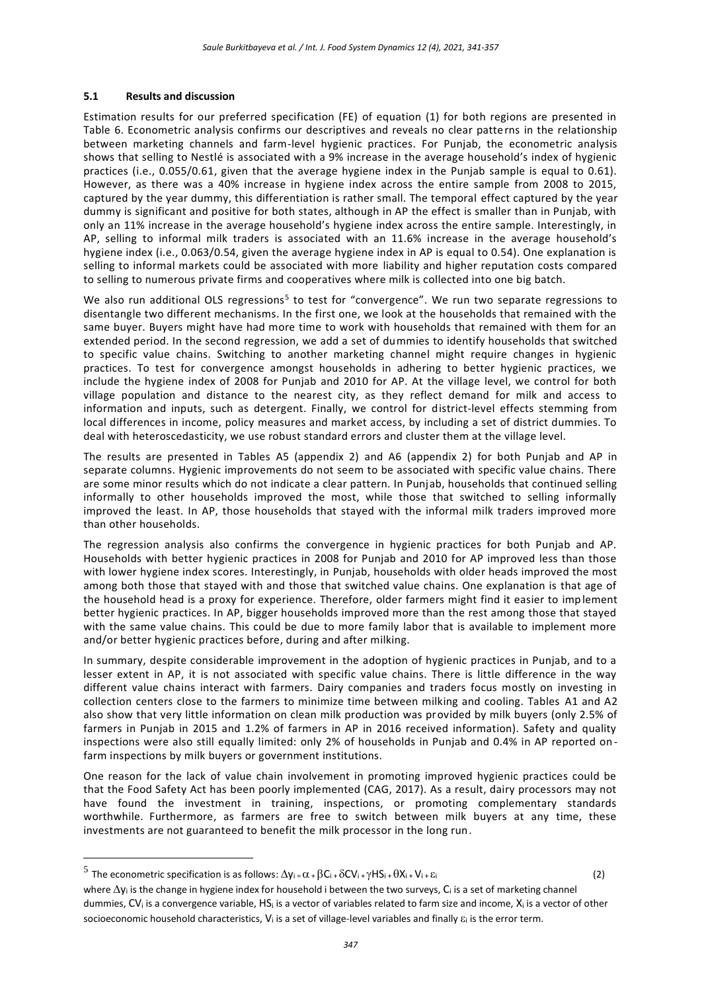#### **5.1 Results and discussion**

Estimation results for our preferred specification (FE) of equation (1) for both regions are presented in Table 6. Econometric analysis confirms our descriptives and reveals no clear patterns in the relationship between marketing channels and farm-level hygienic practices. For Punjab, the econometric analysis shows that selling to Nestlé is associated with a 9% increase in the average household's index of hygienic practices (i.e., 0.055/0.61, given that the average hygiene index in the Punjab sample is equal to 0.61). However, as there was a 40% increase in hygiene index across the entire sample from 2008 to 2015, captured by the year dummy, this differentiation is rather small. The temporal effect captured by the year dummy is significant and positive for both states, although in AP the effect is smaller than in Punjab, with only an 11% increase in the average household's hygiene index across the entire sample. Interestingly, in AP, selling to informal milk traders is associated with an 11.6% increase in the average household's hygiene index (i.e., 0.063/0.54, given the average hygiene index in AP is equal to 0.54). One explanation is selling to informal markets could be associated with more liability and higher reputation costs compared to selling to numerous private firms and cooperatives where milk is collected into one big batch.

We also run additional OLS regressions<sup>5</sup> to test for "convergence". We run two separate regressions to disentangle two different mechanisms. In the first one, we look at the households that remained with the same buyer. Buyers might have had more time to work with households that remained with them for an extended period. In the second regression, we add a set of dummies to identify households that switched to specific value chains. Switching to another marketing channel might require changes in hygienic practices. To test for convergence amongst households in adhering to better hygienic practices, we include the hygiene index of 2008 for Punjab and 2010 for AP. At the village level, we control for both village population and distance to the nearest city, as they reflect demand for milk and access to information and inputs, such as detergent. Finally, we control for district-level effects stemming from local differences in income, policy measures and market access, by including a set of district dummies. To deal with heteroscedasticity, we use robust standard errors and cluster them at the village level.

The results are presented in Tables A5 (appendix 2) and A6 (appendix 2) for both Punjab and AP in separate columns. Hygienic improvements do not seem to be associated with specific value chains. There are some minor results which do not indicate a clear pattern. In Punjab, households that continued selling informally to other households improved the most, while those that switched to selling informally improved the least. In AP, those households that stayed with the informal milk traders improved more than other households.

The regression analysis also confirms the convergence in hygienic practices for both Punjab and AP. Households with better hygienic practices in 2008 for Punjab and 2010 for AP improved less than those with lower hygiene index scores. Interestingly, in Punjab, households with older heads improved the most among both those that stayed with and those that switched value chains. One explanation is that age of the household head is a proxy for experience. Therefore, older farmers might find it easier to implement better hygienic practices. In AP, bigger households improved more than the rest among those that stayed with the same value chains. This could be due to more family labor that is available to implement more and/or better hygienic practices before, during and after milking.

In summary, despite considerable improvement in the adoption of hygienic practices in Punjab, and to a lesser extent in AP, it is not associated with specific value chains. There is little difference in the way different value chains interact with farmers. Dairy companies and traders focus mostly on investing in collection centers close to the farmers to minimize time between milking and cooling. Tables A1 and A2 also show that very little information on clean milk production was provided by milk buyers (only 2.5% of farmers in Punjab in 2015 and 1.2% of farmers in AP in 2016 received information). Safety and quality inspections were also still equally limited: only 2% of households in Punjab and 0.4% in AP reported on farm inspections by milk buyers or government institutions.

One reason for the lack of value chain involvement in promoting improved hygienic practices could be that the Food Safety Act has been poorly implemented (CAG, 2017). As a result, dairy processors may not have found the investment in training, inspections, or promoting complementary standards worthwhile. Furthermore, as farmers are free to switch between milk buyers at any time, these investments are not guaranteed to benefit the milk processor in the long run.

<u>.</u>

<sup>&</sup>lt;sup>5</sup> The econometric specification is as follows:  $\Delta y_i = \alpha + \beta C_i + \delta CV_i + \gamma HS_i + \theta X_i + Vi + \epsilon_i$  (2)

where  $\Delta y_i$  is the change in hygiene index for household i between the two surveys, C<sub>i</sub> is a set of marketing channel dummies, CV<sup>i</sup> is a convergence variable, HS<sup>i</sup> is a vector of variables related to farm size and income, X<sup>i</sup> is a vector of other socioeconomic household characteristics,  $V_i$  is a set of village-level variables and finally  $\varepsilon_i$  is the error term.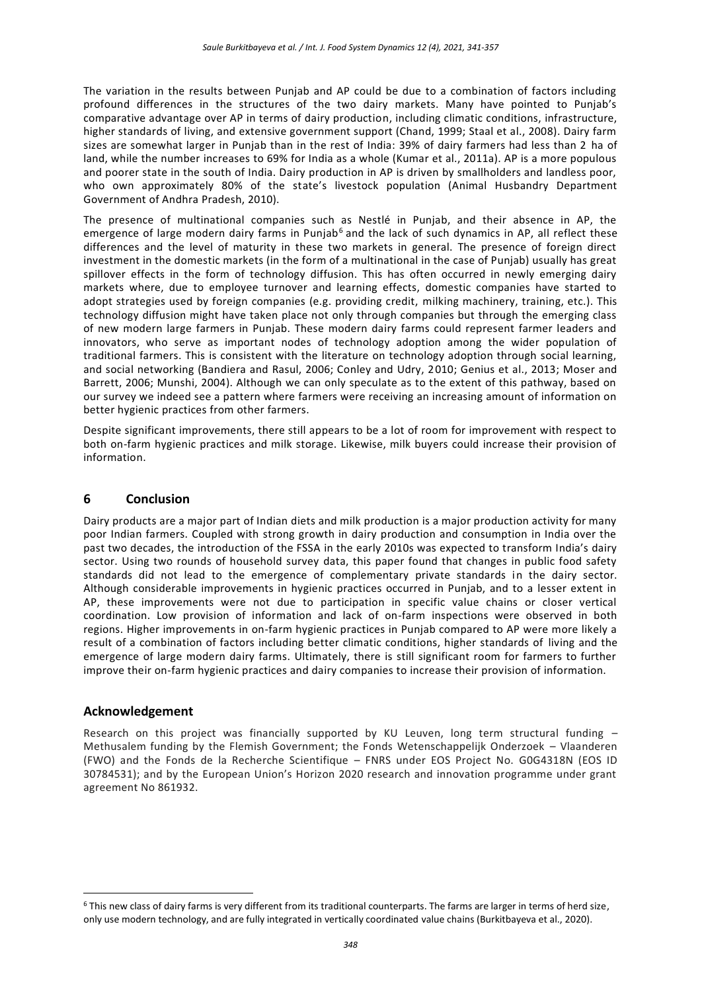The variation in the results between Punjab and AP could be due to a combination of factors including profound differences in the structures of the two dairy markets. Many have pointed to Punjab's comparative advantage over AP in terms of dairy production, including climatic conditions, infrastructure, higher standards of living, and extensive government support (Chand, 1999; Staal et al., 2008). Dairy farm sizes are somewhat larger in Punjab than in the rest of India: 39% of dairy farmers had less than 2 ha of land, while the number increases to 69% for India as a whole (Kumar et al., 2011a). AP is a more populous and poorer state in the south of India. Dairy production in AP is driven by smallholders and landless poor, who own approximately 80% of the state's livestock population (Animal Husbandry Department Government of Andhra Pradesh, 2010).

The presence of multinational companies such as Nestlé in Punjab, and their absence in AP, the emergence of large modern dairy farms in Punjab<sup>6</sup> and the lack of such dynamics in AP, all reflect these differences and the level of maturity in these two markets in general. The presence of foreign direct investment in the domestic markets (in the form of a multinational in the case of Punjab) usually has great spillover effects in the form of technology diffusion. This has often occurred in newly emerging dairy markets where, due to employee turnover and learning effects, domestic companies have started to adopt strategies used by foreign companies (e.g. providing credit, milking machinery, training, etc.). This technology diffusion might have taken place not only through companies but through the emerging class of new modern large farmers in Punjab. These modern dairy farms could represent farmer leaders and innovators, who serve as important nodes of technology adoption among the wider population of traditional farmers. This is consistent with the literature on technology adoption through social learning, and social networking (Bandiera and Rasul, 2006; Conley and Udry, 2010; Genius et al., 2013; Moser and Barrett, 2006; Munshi, 2004). Although we can only speculate as to the extent of this pathway, based on our survey we indeed see a pattern where farmers were receiving an increasing amount of information on better hygienic practices from other farmers.

Despite significant improvements, there still appears to be a lot of room for improvement with respect to both on-farm hygienic practices and milk storage. Likewise, milk buyers could increase their provision of information.

## **6 Conclusion**

Dairy products are a major part of Indian diets and milk production is a major production activity for many poor Indian farmers. Coupled with strong growth in dairy production and consumption in India over the past two decades, the introduction of the FSSA in the early 2010s was expected to transform India's dairy sector. Using two rounds of household survey data, this paper found that changes in public food safety standards did not lead to the emergence of complementary private standards in the dairy sector. Although considerable improvements in hygienic practices occurred in Punjab, and to a lesser extent in AP, these improvements were not due to participation in specific value chains or closer vertical coordination. Low provision of information and lack of on-farm inspections were observed in both regions. Higher improvements in on-farm hygienic practices in Punjab compared to AP were more likely a result of a combination of factors including better climatic conditions, higher standards of living and the emergence of large modern dairy farms. Ultimately, there is still significant room for farmers to further improve their on-farm hygienic practices and dairy companies to increase their provision of information.

## **Acknowledgement**

<u>.</u>

Research on this project was financially supported by KU Leuven, long term structural funding -Methusalem funding by the Flemish Government; the Fonds Wetenschappelijk Onderzoek – Vlaanderen (FWO) and the Fonds de la Recherche Scientifique – FNRS under EOS Project No. G0G4318N (EOS ID 30784531); and by the European Union's Horizon 2020 research and innovation programme under grant agreement No 861932.

<sup>6</sup> This new class of dairy farms is very different from its traditional counterparts. The farms are larger in terms of herd size, only use modern technology, and are fully integrated in vertically coordinated value chains (Burkitbayeva et al., 2020).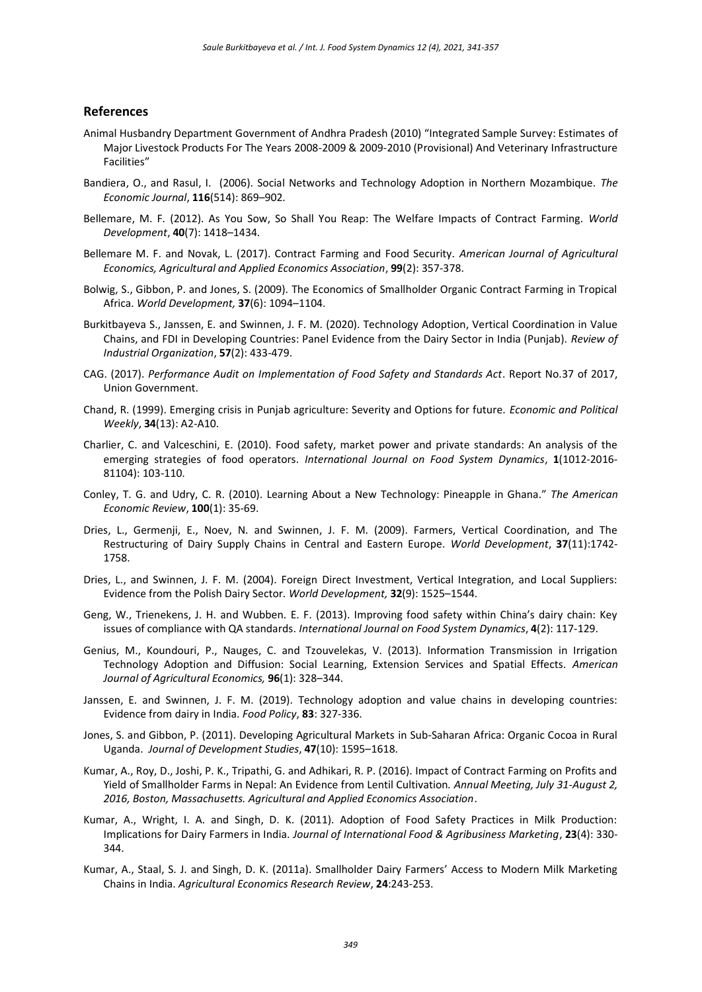#### **References**

- Animal Husbandry Department Government of Andhra Pradesh (2010) "Integrated Sample Survey: Estimates of Major Livestock Products For The Years 2008-2009 & 2009-2010 (Provisional) And Veterinary Infrastructure Facilities"
- Bandiera, O., and Rasul, I. (2006). Social Networks and Technology Adoption in Northern Mozambique. *The Economic Journal*, **116**(514): 869–902.
- Bellemare, M. F. (2012). As You Sow, So Shall You Reap: The Welfare Impacts of Contract Farming. *World Development*, **40**(7): 1418–1434.
- Bellemare M. F. and Novak, L. (2017). Contract Farming and Food Security. *American Journal of Agricultural Economics, Agricultural and Applied Economics Association*, **99**(2): 357-378.
- Bolwig, S., Gibbon, P. and Jones, S. (2009). The Economics of Smallholder Organic Contract Farming in Tropical Africa. *World Development,* **37**(6): 1094–1104.
- Burkitbayeva S., Janssen, E. and Swinnen, J. F. M. (2020). Technology Adoption, Vertical Coordination in Value Chains, and FDI in Developing Countries: Panel Evidence from the Dairy Sector in India (Punjab). *Review of Industrial Organization*, **57**(2): 433-479.
- CAG. (2017). *Performance Audit on Implementation of Food Safety and Standards Act*. Report No.37 of 2017, Union Government.
- Chand, R. (1999). Emerging crisis in Punjab agriculture: Severity and Options for future. *Economic and Political Weekly*, **34**(13): A2-A10.
- Charlier, C. and Valceschini, E. (2010). Food safety, market power and private standards: An analysis of the emerging strategies of food operators. *International Journal on Food System Dynamics*, **1**(1012-2016- 81104): 103-110.
- Conley, T. G. and Udry, C. R. (2010). Learning About a New Technology: Pineapple in Ghana." *The American Economic Review*, **100**(1): 35-69.
- Dries, L., Germenji, E., Noev, N. and Swinnen, J. F. M. (2009). Farmers, Vertical Coordination, and The Restructuring of Dairy Supply Chains in Central and Eastern Europe. *World Development*, **37**(11):1742- 1758.
- Dries, L., and Swinnen, J. F. M. (2004). Foreign Direct Investment, Vertical Integration, and Local Suppliers: Evidence from the Polish Dairy Sector. *[World Development,](http://www.sciencedirect.com/science/journal/0305750X)* **32**(9): 1525–1544.
- Geng, W., Trienekens, J. H. and Wubben. E. F. (2013). Improving food safety within China's dairy chain: Key issues of compliance with QA standards. *International Journal on Food System Dynamics*, **4**(2): 117-129.
- Genius, M., Koundouri, P., Nauges, C. and Tzouvelekas, V. (2013). Information Transmission in Irrigation Technology Adoption and Diffusion: Social Learning, Extension Services and Spatial Effects. *American Journal of Agricultural Economics,* **96**(1): 328–344.
- Janssen, E. and Swinnen, J. F. M. (2019). Technology adoption and value chains in developing countries: Evidence from dairy in India. *Food Policy*, **83**: 327-336.
- Jones, S. and Gibbon, P. (2011). Developing Agricultural Markets in Sub-Saharan Africa: Organic Cocoa in Rural Uganda. *Journal of Development Studies*, **47**(10): 1595–1618.
- Kumar, A., Roy, D., Joshi, P. K., Tripathi, G. and Adhikari, R. P. (2016). Impact of Contract Farming on Profits and Yield of Smallholder Farms in Nepal: An Evidence from Lentil Cultivation*. Annual Meeting, July 31-August 2, 2016, Boston, Massachusetts. Agricultural and Applied Economics Association*.
- Kumar, A., Wright, I. A. and Singh, D. K. (2011). Adoption of Food Safety Practices in Milk Production: Implications for Dairy Farmers in India. *Journal of International Food & Agribusiness Marketing*, **23**(4): 330- 344.
- Kumar, A., Staal, S. J. and Singh, D. K. (2011a). Smallholder Dairy Farmers' Access to Modern Milk Marketing Chains in India. *Agricultural Economics Research Review*, **24**:243-253.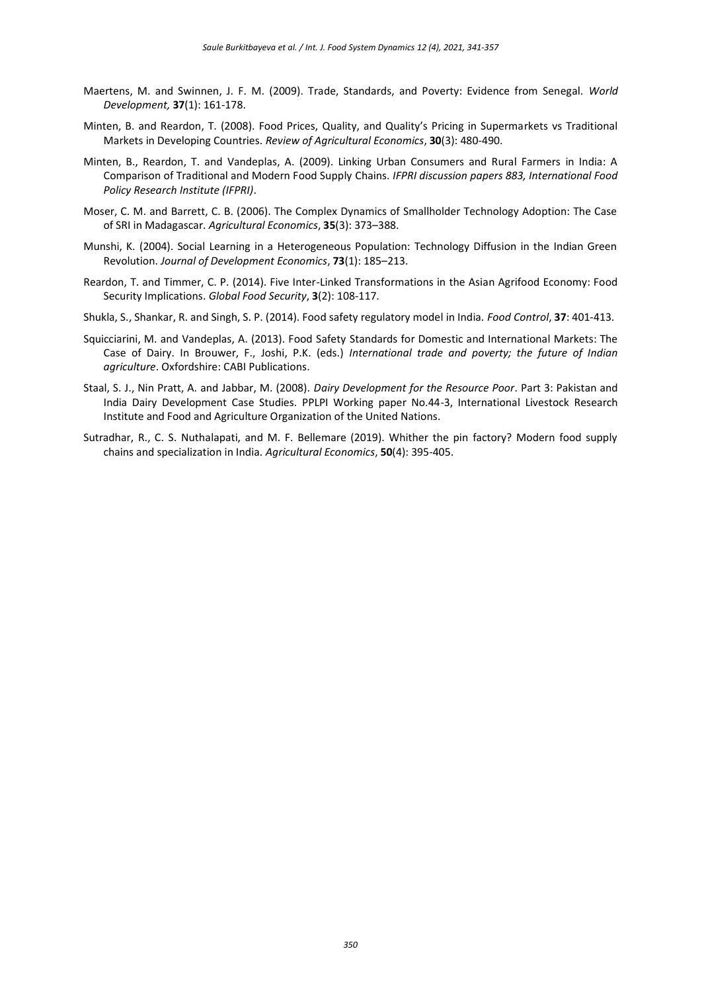- Maertens, M. and Swinnen, J. F. M. (2009). Trade, Standards, and Poverty: Evidence from Senegal. *World Development,* **37**(1): 161-178.
- Minten, B. and Reardon, T. (2008). Food Prices, Quality, and Quality's Pricing in Supermarkets vs Traditional Markets in Developing Countries. *Review of Agricultural Economics*, **30**(3): 480-490.
- Minten, B., Reardon, T. and Vandeplas, A. (2009). Linking Urban Consumers and Rural Farmers in India: A Comparison of Traditional and Modern Food Supply Chains. *IFPRI discussion papers 883, International Food Policy Research Institute (IFPRI)*.
- Moser, C. M. and Barrett, C. B. (2006). The Complex Dynamics of Smallholder Technology Adoption: The Case of SRI in Madagascar. *Agricultural Economics*, **35**(3): 373–388.
- Munshi, K. (2004). Social Learning in a Heterogeneous Population: Technology Diffusion in the Indian Green Revolution. *Journal of Development Economics*, **73**(1): 185–213.
- Reardon, T. and Timmer, C. P. (2014). Five Inter-Linked Transformations in the Asian Agrifood Economy: Food Security Implications. *Global Food Security*, **3**(2): 108-117.
- Shukla, S., Shankar, R. and Singh, S. P. (2014). Food safety regulatory model in India. *Food Control*, **37**: 401-413.
- Squicciarini, M. and Vandeplas, A. (2013). Food Safety Standards for Domestic and International Markets: The Case of Dairy. In Brouwer, F., Joshi, P.K. (eds.) *International trade and poverty; the future of Indian agriculture*. Oxfordshire: CABI Publications.
- Staal, S. J., Nin Pratt, A. and Jabbar, M. (2008). *Dairy Development for the Resource Poor*. Part 3: Pakistan and India Dairy Development Case Studies. PPLPI Working paper No.44-3, International Livestock Research Institute and Food and Agriculture Organization of the United Nations.
- Sutradhar, R., C. S. Nuthalapati, and M. F. Bellemare (2019). Whither the pin factory? Modern food supply chains and specialization in India. *Agricultural Economics*, **50**(4): 395-405.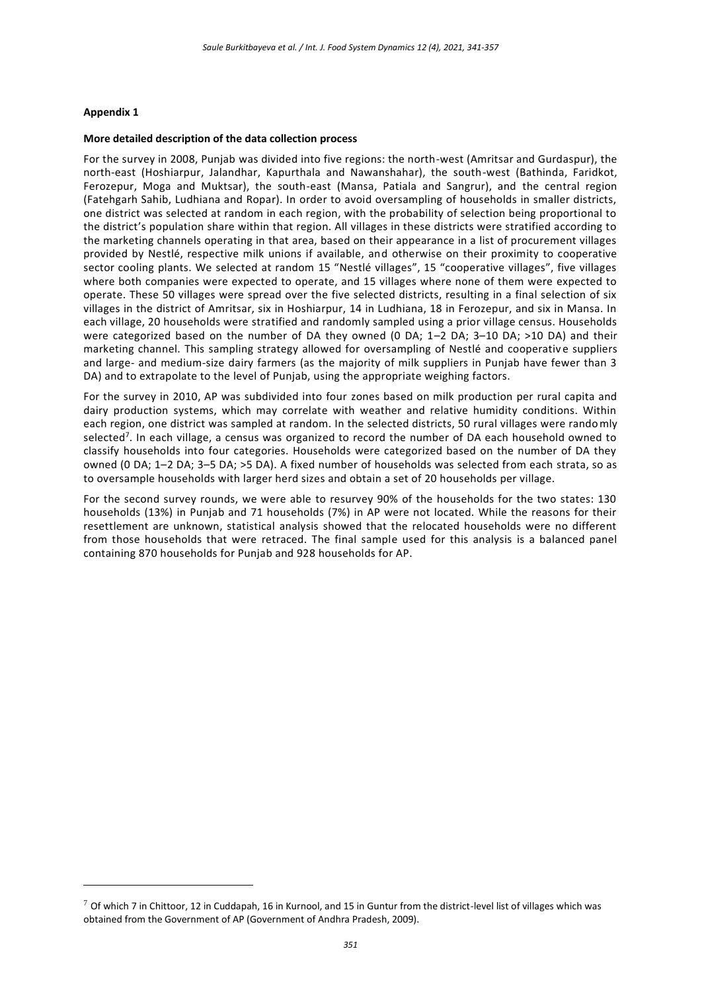#### **Appendix 1**

<u>.</u>

#### **More detailed description of the data collection process**

For the survey in 2008, Punjab was divided into five regions: the north-west (Amritsar and Gurdaspur), the north-east (Hoshiarpur, Jalandhar, Kapurthala and Nawanshahar), the south-west (Bathinda, Faridkot, Ferozepur, Moga and Muktsar), the south-east (Mansa, Patiala and Sangrur), and the central region (Fatehgarh Sahib, Ludhiana and Ropar). In order to avoid oversampling of households in smaller districts, one district was selected at random in each region, with the probability of selection being proportional to the district's population share within that region. All villages in these districts were stratified according to the marketing channels operating in that area, based on their appearance in a list of procurement villages provided by Nestlé, respective milk unions if available, and otherwise on their proximity to cooperative sector cooling plants. We selected at random 15 "Nestlé villages", 15 "cooperative villages", five villages where both companies were expected to operate, and 15 villages where none of them were expected to operate. These 50 villages were spread over the five selected districts, resulting in a final selection of six villages in the district of Amritsar, six in Hoshiarpur, 14 in Ludhiana, 18 in Ferozepur, and six in Mansa. In each village, 20 households were stratified and randomly sampled using a prior village census. Households were categorized based on the number of DA they owned (0 DA; 1-2 DA; 3-10 DA; >10 DA) and their marketing channel. This sampling strategy allowed for oversampling of Nestlé and cooperative suppliers and large- and medium-size dairy farmers (as the majority of milk suppliers in Punjab have fewer than 3 DA) and to extrapolate to the level of Punjab, using the appropriate weighing factors.

For the survey in 2010, AP was subdivided into four zones based on milk production per rural capita and dairy production systems, which may correlate with weather and relative humidity conditions. Within each region, one district was sampled at random. In the selected districts, 50 rural villages were randomly selected<sup>7</sup>. In each village, a census was organized to record the number of DA each household owned to classify households into four categories. Households were categorized based on the number of DA they owned (0 DA; 1–2 DA; 3–5 DA; >5 DA). A fixed number of households was selected from each strata, so as to oversample households with larger herd sizes and obtain a set of 20 households per village.

For the second survey rounds, we were able to resurvey 90% of the households for the two states: 130 households (13%) in Punjab and 71 households (7%) in AP were not located. While the reasons for their resettlement are unknown, statistical analysis showed that the relocated households were no different from those households that were retraced. The final sample used for this analysis is a balanced panel containing 870 households for Punjab and 928 households for AP.

 $7$  Of which 7 in Chittoor, 12 in Cuddapah, 16 in Kurnool, and 15 in Guntur from the district-level list of villages which was obtained from the Government of AP (Government of Andhra Pradesh, 2009).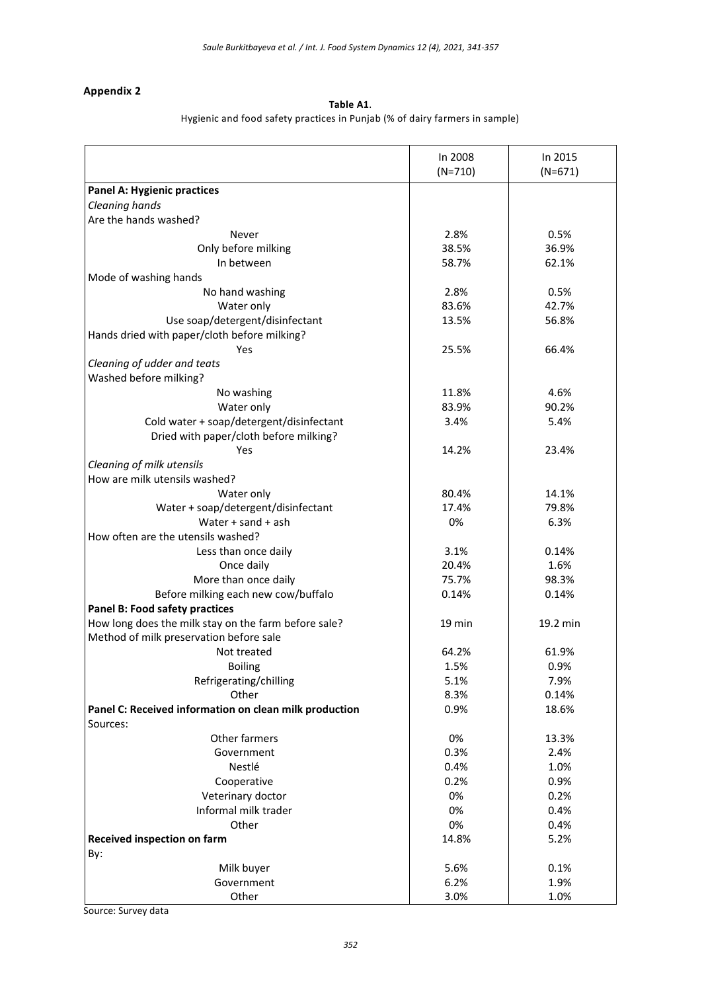# **Appendix 2**

## **Table A1**.

Hygienic and food safety practices in Punjab (% of dairy farmers in sample)

|                                                        | In 2008   | In 2015   |
|--------------------------------------------------------|-----------|-----------|
|                                                        | $(N=710)$ | $(N=671)$ |
| Panel A: Hygienic practices                            |           |           |
| Cleaning hands                                         |           |           |
| Are the hands washed?                                  |           |           |
| Never                                                  | 2.8%      | 0.5%      |
| Only before milking                                    | 38.5%     | 36.9%     |
| In between                                             | 58.7%     | 62.1%     |
| Mode of washing hands                                  |           |           |
| No hand washing                                        | 2.8%      | 0.5%      |
| Water only                                             | 83.6%     | 42.7%     |
| Use soap/detergent/disinfectant                        | 13.5%     | 56.8%     |
| Hands dried with paper/cloth before milking?           |           |           |
| Yes                                                    | 25.5%     | 66.4%     |
| Cleaning of udder and teats                            |           |           |
| Washed before milking?                                 |           |           |
| No washing                                             | 11.8%     | 4.6%      |
| Water only                                             | 83.9%     | 90.2%     |
| Cold water + soap/detergent/disinfectant               | 3.4%      | 5.4%      |
| Dried with paper/cloth before milking?                 |           |           |
| Yes                                                    | 14.2%     | 23.4%     |
| Cleaning of milk utensils                              |           |           |
| How are milk utensils washed?                          |           |           |
| Water only                                             | 80.4%     | 14.1%     |
| Water + soap/detergent/disinfectant                    | 17.4%     | 79.8%     |
| Water $+$ sand $+$ ash                                 | 0%        | 6.3%      |
| How often are the utensils washed?                     |           |           |
| Less than once daily                                   | 3.1%      | 0.14%     |
| Once daily                                             | 20.4%     | 1.6%      |
| More than once daily                                   | 75.7%     | 98.3%     |
|                                                        |           |           |
| Before milking each new cow/buffalo                    | 0.14%     | 0.14%     |
| Panel B: Food safety practices                         |           |           |
| How long does the milk stay on the farm before sale?   | 19 min    | 19.2 min  |
| Method of milk preservation before sale                |           | 61.9%     |
| Not treated                                            | 64.2%     |           |
| <b>Boiling</b>                                         | 1.5%      | 0.9%      |
| Refrigerating/chilling                                 | 5.1%      | 7.9%      |
| Other                                                  | 8.3%      | 0.14%     |
| Panel C: Received information on clean milk production | 0.9%      | 18.6%     |
| Sources:                                               |           |           |
| Other farmers                                          | 0%        | 13.3%     |
| Government                                             | 0.3%      | 2.4%      |
| Nestlé                                                 | 0.4%      | 1.0%      |
| Cooperative                                            | 0.2%      | 0.9%      |
| Veterinary doctor                                      | 0%        | 0.2%      |
| Informal milk trader                                   | 0%        | 0.4%      |
| Other                                                  | 0%        | 0.4%      |
| Received inspection on farm                            | 14.8%     | 5.2%      |
| By:                                                    |           |           |
| Milk buyer                                             | 5.6%      | 0.1%      |
| Government                                             | 6.2%      | 1.9%      |
| Other                                                  | 3.0%      | 1.0%      |

Source: Survey data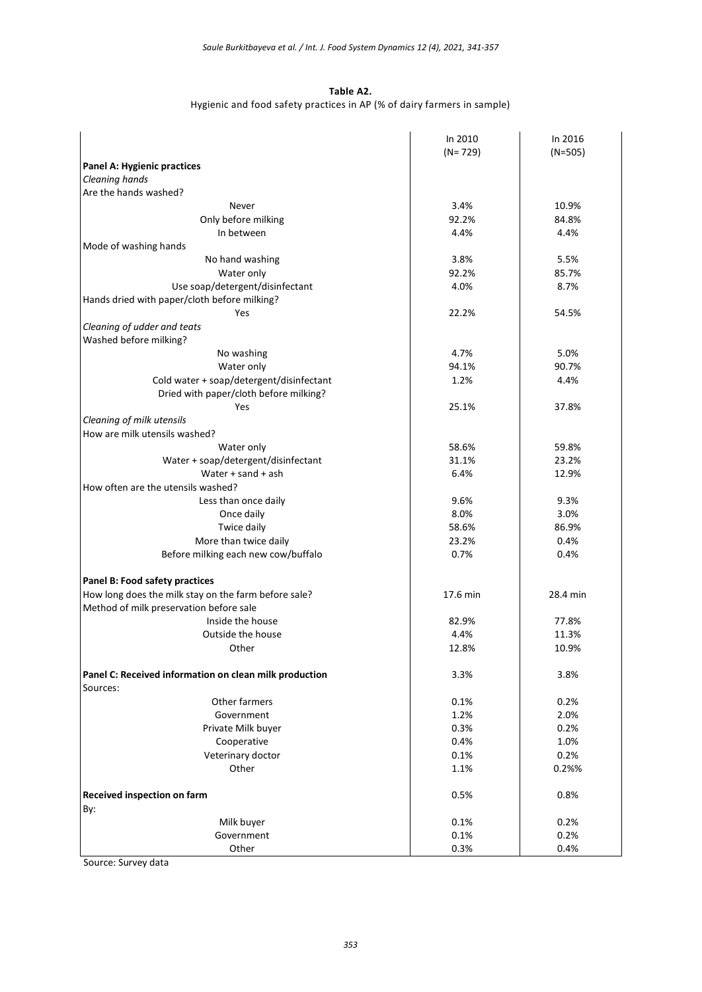#### **Table A2.**

# Hygienic and food safety practices in AP (% of dairy farmers in sample)

|                                                        | In 2010     |           |
|--------------------------------------------------------|-------------|-----------|
|                                                        |             | In 2016   |
|                                                        | $(N = 729)$ | $(N=505)$ |
| Panel A: Hygienic practices                            |             |           |
| Cleaning hands                                         |             |           |
| Are the hands washed?                                  |             |           |
| Never                                                  | 3.4%        | 10.9%     |
| Only before milking                                    | 92.2%       | 84.8%     |
| In between                                             | 4.4%        | 4.4%      |
| Mode of washing hands                                  |             |           |
| No hand washing                                        | 3.8%        | 5.5%      |
| Water only                                             | 92.2%       | 85.7%     |
| Use soap/detergent/disinfectant                        | 4.0%        | 8.7%      |
| Hands dried with paper/cloth before milking?           |             |           |
| Yes                                                    | 22.2%       | 54.5%     |
| Cleaning of udder and teats                            |             |           |
| Washed before milking?                                 |             |           |
| No washing                                             | 4.7%        | 5.0%      |
| Water only                                             | 94.1%       | 90.7%     |
| Cold water + soap/detergent/disinfectant               | 1.2%        | 4.4%      |
| Dried with paper/cloth before milking?                 |             |           |
| Yes                                                    | 25.1%       | 37.8%     |
| Cleaning of milk utensils                              |             |           |
| How are milk utensils washed?                          |             |           |
| Water only                                             | 58.6%       | 59.8%     |
| Water + soap/detergent/disinfectant                    | 31.1%       | 23.2%     |
| Water $+$ sand $+$ ash                                 | 6.4%        | 12.9%     |
| How often are the utensils washed?                     |             |           |
|                                                        | 9.6%        |           |
| Less than once daily                                   |             | 9.3%      |
| Once daily                                             | 8.0%        | 3.0%      |
| Twice daily                                            | 58.6%       | 86.9%     |
| More than twice daily                                  | 23.2%       | 0.4%      |
| Before milking each new cow/buffalo                    | 0.7%        | 0.4%      |
|                                                        |             |           |
| Panel B: Food safety practices                         |             |           |
| How long does the milk stay on the farm before sale?   | 17.6 min    | 28.4 min  |
| Method of milk preservation before sale                |             |           |
| Inside the house                                       | 82.9%       | 77.8%     |
| Outside the house                                      | 4.4%        | 11.3%     |
| Other                                                  | 12.8%       | 10.9%     |
|                                                        |             |           |
| Panel C: Received information on clean milk production | 3.3%        | 3.8%      |
| Sources:                                               |             |           |
| Other farmers                                          | 0.1%        | 0.2%      |
| Government                                             | 1.2%        | 2.0%      |
| Private Milk buyer                                     | 0.3%        | 0.2%      |
| Cooperative                                            | 0.4%        | 1.0%      |
| Veterinary doctor                                      | 0.1%        | 0.2%      |
| Other                                                  | 1.1%        | 0.2%%     |
|                                                        |             |           |
| Received inspection on farm                            | 0.5%        | 0.8%      |
| By:                                                    |             |           |
| Milk buyer                                             | 0.1%        | 0.2%      |
| Government                                             | 0.1%        | 0.2%      |
| Other                                                  | 0.3%        | 0.4%      |
|                                                        |             |           |

Source: Survey data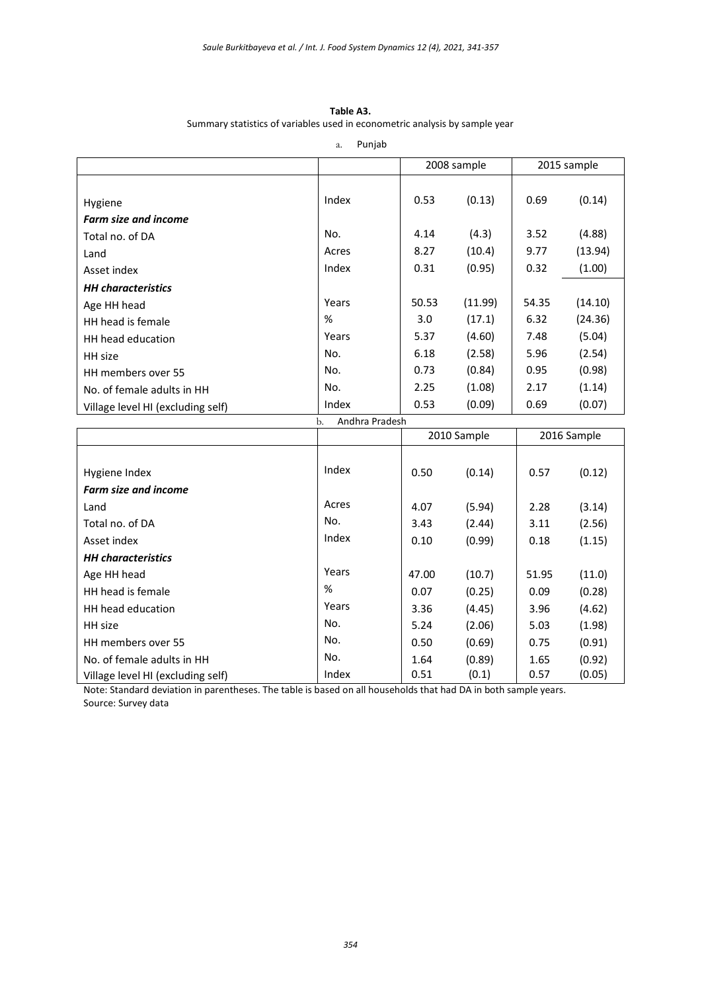**Table A3.** Summary statistics of variables used in econometric analysis by sample year

a. Punjab

|                                   |                      | 2008 sample |             | 2015 sample |         |
|-----------------------------------|----------------------|-------------|-------------|-------------|---------|
|                                   |                      |             |             |             |         |
| Hygiene                           | Index                | 0.53        | (0.13)      | 0.69        | (0.14)  |
| <b>Farm size and income</b>       |                      |             |             |             |         |
| Total no. of DA                   | No.                  | 4.14        | (4.3)       | 3.52        | (4.88)  |
| Land                              | Acres                | 8.27        | (10.4)      | 9.77        | (13.94) |
| Asset index                       | Index                | 0.31        | (0.95)      | 0.32        | (1.00)  |
| <b>HH</b> characteristics         |                      |             |             |             |         |
| Age HH head                       | Years                | 50.53       | (11.99)     | 54.35       | (14.10) |
| HH head is female                 | %                    | 3.0         | (17.1)      | 6.32        | (24.36) |
| HH head education                 | Years                | 5.37        | (4.60)      | 7.48        | (5.04)  |
| HH size                           | No.                  | 6.18        | (2.58)      | 5.96        | (2.54)  |
| HH members over 55                | No.                  | 0.73        | (0.84)      | 0.95        | (0.98)  |
| No. of female adults in HH        | No.                  | 2.25        | (1.08)      | 2.17        | (1.14)  |
| Village level HI (excluding self) | Index                | 0.53        | (0.09)      | 0.69        | (0.07)  |
|                                   | Andhra Pradesh<br>b. |             |             |             |         |
|                                   |                      |             | 2010 Sample | 2016 Sample |         |
|                                   |                      |             |             |             |         |
| Hygiene Index                     | Index                | 0.50        | (0.14)      | 0.57        | (0.12)  |
| <b>Farm size and income</b>       |                      |             |             |             |         |
| Land                              | Acres                | 4.07        | (5.94)      | 2.28        | (3.14)  |
| Total no. of DA                   | No.                  | 3.43        | (2.44)      | 3.11        | (2.56)  |
| Asset index                       | Index                | 0.10        | (0.99)      | 0.18        | (1.15)  |
| <b>HH</b> characteristics         |                      |             |             |             |         |
| Age HH head                       | Years                | 47.00       | (10.7)      | 51.95       | (11.0)  |
| HH head is female                 | %                    | 0.07        | (0.25)      | 0.09        | (0.28)  |
| HH head education                 | Years                | 3.36        | (4.45)      | 3.96        | (4.62)  |
| HH size                           | No.                  | 5.24        | (2.06)      | 5.03        | (1.98)  |
| HH members over 55                | No.                  | 0.50        | (0.69)      | 0.75        | (0.91)  |
| No. of female adults in HH        | No.                  | 1.64        | (0.89)      | 1.65        | (0.92)  |
| Village level HI (excluding self) | Index                | 0.51        | (0.1)       | 0.57        | (0.05)  |

Note: Standard deviation in parentheses. The table is based on all households that had DA in both sample years. Source: Survey data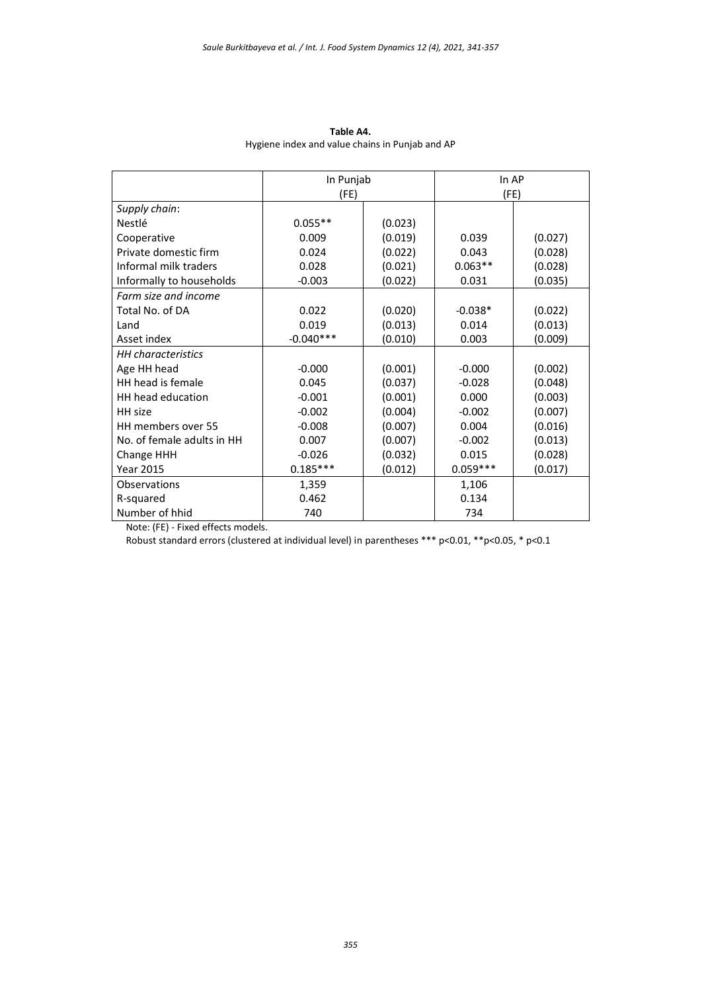|                            | In Punjab   |         | In AP      |         |
|----------------------------|-------------|---------|------------|---------|
|                            | (FE)        |         | (FE)       |         |
| Supply chain:              |             |         |            |         |
| Nestlé                     | $0.055**$   | (0.023) |            |         |
| Cooperative                | 0.009       | (0.019) | 0.039      | (0.027) |
| Private domestic firm      | 0.024       | (0.022) | 0.043      | (0.028) |
| Informal milk traders      | 0.028       | (0.021) | $0.063**$  | (0.028) |
| Informally to households   | $-0.003$    | (0.022) | 0.031      | (0.035) |
| Farm size and income       |             |         |            |         |
| Total No. of DA            | 0.022       | (0.020) | $-0.038*$  | (0.022) |
| Land                       | 0.019       | (0.013) | 0.014      | (0.013) |
| Asset index                | $-0.040***$ | (0.010) | 0.003      | (0.009) |
| <b>HH</b> characteristics  |             |         |            |         |
| Age HH head                | $-0.000$    | (0.001) | $-0.000$   | (0.002) |
| HH head is female          | 0.045       | (0.037) | $-0.028$   | (0.048) |
| HH head education          | $-0.001$    | (0.001) | 0.000      | (0.003) |
| HH size                    | $-0.002$    | (0.004) | $-0.002$   | (0.007) |
| HH members over 55         | $-0.008$    | (0.007) | 0.004      | (0.016) |
| No. of female adults in HH | 0.007       | (0.007) | $-0.002$   | (0.013) |
| Change HHH                 | $-0.026$    | (0.032) | 0.015      | (0.028) |
| <b>Year 2015</b>           | $0.185***$  | (0.012) | $0.059***$ | (0.017) |
| Observations               | 1,359       |         | 1,106      |         |
| R-squared                  | 0.462       |         | 0.134      |         |
| Number of hhid             | 740         |         | 734        |         |

**Table A4.** Hygiene index and value chains in Punjab and AP

Note: (FE) - Fixed effects models.

Robust standard errors (clustered at individual level) in parentheses \*\*\* p<0.01, \*\*p<0.05, \* p<0.1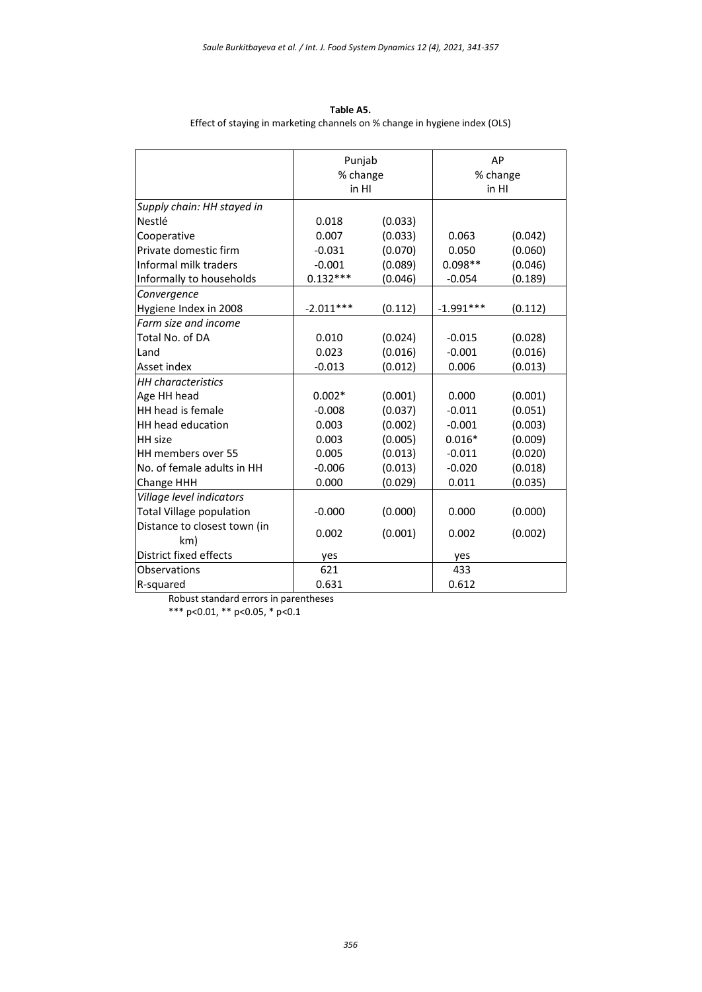| Table A5.                                                                  |
|----------------------------------------------------------------------------|
| Effect of staying in marketing channels on % change in hygiene index (OLS) |

|                                 | Punjab<br>% change<br>in HI |         | AP<br>% change<br>in HI |         |
|---------------------------------|-----------------------------|---------|-------------------------|---------|
| Supply chain: HH stayed in      |                             |         |                         |         |
| Nestlé                          | 0.018                       | (0.033) |                         |         |
| Cooperative                     | 0.007                       | (0.033) | 0.063                   | (0.042) |
| Private domestic firm           | $-0.031$                    | (0.070) | 0.050                   | (0.060) |
| Informal milk traders           | $-0.001$                    | (0.089) | $0.098**$               | (0.046) |
| Informally to households        | $0.132***$                  | (0.046) | $-0.054$                | (0.189) |
| Convergence                     |                             |         |                         |         |
| Hygiene Index in 2008           | $-2.011***$                 | (0.112) | $-1.991***$             | (0.112) |
| Farm size and income            |                             |         |                         |         |
| Total No. of DA                 | 0.010                       | (0.024) | $-0.015$                | (0.028) |
| Land                            | 0.023                       | (0.016) | $-0.001$                | (0.016) |
| Asset index                     | $-0.013$                    | (0.012) | 0.006                   | (0.013) |
| <b>HH</b> characteristics       |                             |         |                         |         |
| Age HH head                     | $0.002*$                    | (0.001) | 0.000                   | (0.001) |
| HH head is female               | $-0.008$                    | (0.037) | $-0.011$                | (0.051) |
| HH head education               | 0.003                       | (0.002) | $-0.001$                | (0.003) |
| <b>HH</b> size                  | 0.003                       | (0.005) | $0.016*$                | (0.009) |
| HH members over 55              | 0.005                       | (0.013) | $-0.011$                | (0.020) |
| No. of female adults in HH      | $-0.006$                    | (0.013) | $-0.020$                | (0.018) |
| <b>Change HHH</b>               | 0.000                       | (0.029) | 0.011                   | (0.035) |
| Village level indicators        |                             |         |                         |         |
| <b>Total Village population</b> | $-0.000$                    | (0.000) | 0.000                   | (0.000) |
| Distance to closest town (in    | 0.002                       | (0.001) | 0.002                   | (0.002) |
| km)<br>District fixed effects   |                             |         |                         |         |
| Observations                    | yes                         |         | yes                     |         |
|                                 | 621                         |         | 433                     |         |
| R-squared                       | 0.631                       |         | 0.612                   |         |

Robust standard errors in parentheses \*\*\* p<0.01, \*\* p<0.05, \* p<0.1